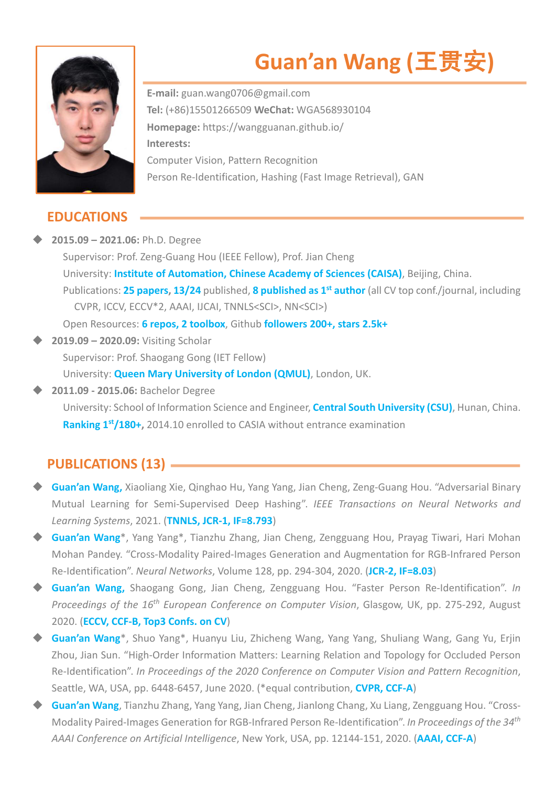

# **Guan'an Wang (**⺩贯安**)**

**E-mail:** guan.wang0706@gmail.com **Tel:** (+86)15501266509 **WeChat:** WGA568930104 **Homepage:** https://wangguanan.github.io/ **Interests:**  Computer Vision, Pattern Recognition Person Re-Identification, Hashing (Fast Image Retrieval), GAN

## **EDUCATIONS**

u **2015.09 – 2021.06:** Ph.D. Degree Supervisor: Prof. Zeng-Guang Hou (IEEE Fellow), Prof. Jian Cheng University: **Institute of Automation, Chinese Academy of Sciences (CAISA)**, Beijing, China. Publications: **25 papers, 13/24** published, **8 published as 1st author** (all CV top conf./journal, including CVPR, ICCV, ECCV\*2, AAAI, IJCAI, TNNLS<SCI>, NN<SCI>) Open Resources: **6 repos, 2 toolbox**, Github **followers 200+, stars 2.5k+** u **2019.09 – 2020.09:** Visiting Scholar

Supervisor: Prof. Shaogang Gong (IET Fellow)

University: **Queen Mary University of London (QMUL)**, London, UK.

u **2011.09 - 2015.06:** Bachelor Degree

 University: School of Information Science and Engineer, **Central South University (CSU)**, Hunan, China. **Ranking 1<sup>st</sup>/180+,** 2014.10 enrolled to CASIA without entrance examination

# **PUBLICATIONS (13)**

- **Guan'an Wang,** Xiaoliang Xie, Qinghao Hu, Yang Yang, Jian Cheng, Zeng-Guang Hou. "Adversarial Binary Mutual Learning for Semi-Supervised Deep Hashing". *IEEE Transactions on Neural Networks and Learning Systems*, 2021. (**TNNLS, JCR-1, IF=8.793**)
- u **Guan'an Wang**\*, Yang Yang\*, Tianzhu Zhang, Jian Cheng, Zengguang Hou, Prayag Tiwari, Hari Mohan Mohan Pandey. "Cross-Modality Paired-Images Generation and Augmentation for RGB-Infrared Person Re-Identification". *Neural Networks*, Volume 128, pp. 294-304, 2020. (**JCR-2, IF=8.03**)
- u **Guan'an Wang,** Shaogang Gong, Jian Cheng, Zengguang Hou. "Faster Person Re-Identification". *In Proceedings of the 16th European Conference on Computer Vision*, Glasgow, UK, pp. 275-292, August 2020. (**ECCV, CCF-B, Top3 Confs. on CV**)
- ◆ Guan'an Wang<sup>\*</sup>, Shuo Yang<sup>\*</sup>, Huanyu Liu, Zhicheng Wang, Yang Yang, Shuliang Wang, Gang Yu, Erjin Zhou, Jian Sun. "High-Order Information Matters: Learning Relation and Topology for Occluded Person Re-Identification". *In Proceedings of the 2020 Conference on Computer Vision and Pattern Recognition*, Seattle, WA, USA, pp. 6448-6457, June 2020. (\*equal contribution, **CVPR, CCF-A**)
- **Guan'an Wang,** Tianzhu Zhang, Yang Yang, Jian Cheng, Jianlong Chang, Xu Liang, Zengguang Hou. "Cross-Modality Paired-Images Generation for RGB-Infrared Person Re-Identification". *In Proceedings of the 34th AAAI Conference on Artificial Intelligence*, New York, USA, pp. 12144-151, 2020. (**AAAI, CCF-A**)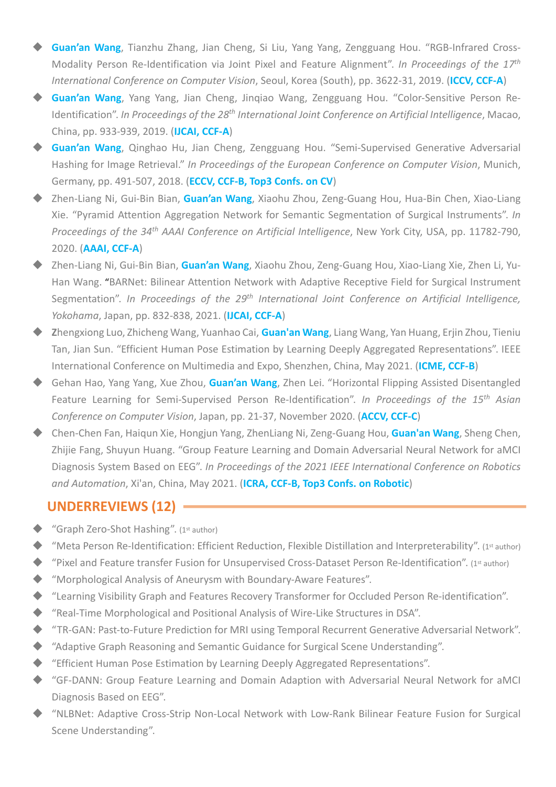- ◆ **Guan'an Wang**, Tianzhu Zhang, Jian Cheng, Si Liu, Yang Yang, Zengguang Hou. "RGB-Infrared Cross-Modality Person Re-Identification via Joint Pixel and Feature Alignment". *In Proceedings of the 17th International Conference on Computer Vision*, Seoul, Korea (South), pp. 3622-31, 2019. (**ICCV, CCF-A**)
- ◆ **Guan'an Wang**, Yang Yang, Jian Cheng, Jingiao Wang, Zengguang Hou. "Color-Sensitive Person Re-Identification". *In Proceedings of the 28th International Joint Conference on Artificial Intelligence*, Macao, China, pp. 933-939, 2019. (**IJCAI, CCF-A**)
- ◆ Guan'an Wang, Qinghao Hu, Jian Cheng, Zengguang Hou. "Semi-Supervised Generative Adversarial Hashing for Image Retrieval." *In Proceedings of the European Conference on Computer Vision*, Munich, Germany, pp. 491-507, 2018. (**ECCV, CCF-B, Top3 Confs. on CV**)
- u Zhen-Liang Ni, Gui-Bin Bian, **Guan'an Wang**, Xiaohu Zhou, Zeng-Guang Hou, Hua-Bin Chen, Xiao-Liang Xie. "Pyramid Attention Aggregation Network for Semantic Segmentation of Surgical Instruments". *In Proceedings of the 34th AAAI Conference on Artificial Intelligence*, New York City, USA, pp. 11782-790, 2020. (**AAAI, CCF-A**)
- ◆ Zhen-Liang Ni, Gui-Bin Bian, Guan'an Wang, Xiaohu Zhou, Zeng-Guang Hou, Xiao-Liang Xie, Zhen Li, Yu-Han Wang. "BARNet: Bilinear Attention Network with Adaptive Receptive Field for Surgical Instrument Segmentation". *In Proceedings of the 29th International Joint Conference on Artificial Intelligence, Yokohama*, Japan, pp. 832-838, 2021. (**IJCAI, CCF-A**)
- u **Z**hengxiong Luo, Zhicheng Wang, Yuanhao Cai, **Guan'an Wang**, Liang Wang, Yan Huang, Erjin Zhou, Tieniu Tan, Jian Sun. "Efficient Human Pose Estimation by Learning Deeply Aggregated Representations". IEEE International Conference on Multimedia and Expo, Shenzhen, China, May 2021. (**ICME, CCF-B**)
- ◆ Gehan Hao, Yang Yang, Xue Zhou, **Guan'an Wang**, Zhen Lei. "Horizontal Flipping Assisted Disentangled Feature Learning for Semi-Supervised Person Re-Identification". *In Proceedings of the 15th Asian Conference on Computer Vision*, Japan, pp. 21-37, November 2020. (**ACCV, CCF-C**)
- ◆ Chen-Chen Fan, Haiqun Xie, Hongjun Yang, ZhenLiang Ni, Zeng-Guang Hou, **Guan'an Wang**, Sheng Chen, Zhijie Fang, Shuyun Huang. "Group Feature Learning and Domain Adversarial Neural Network for aMCI Diagnosis System Based on EEG". *In Proceedings of the 2021 IEEE International Conference on Robotics and Automation*, Xi'an, China, May 2021. (**ICRA, CCF-B, Top3 Confs. on Robotic**)

#### **UNDERREVIEWS (12)**

- $\triangle$  "Graph Zero-Shot Hashing". (1st author)
- $\blacklozenge$  "Meta Person Re-Identification: Efficient Reduction, Flexible Distillation and Interpreterability". (1st author)
- $\blacklozenge$  "Pixel and Feature transfer Fusion for Unsupervised Cross-Dataset Person Re-Identification". (1st author)
- $\blacklozenge$  "Morphological Analysis of Aneurysm with Boundary-Aware Features".
- "Learning Visibility Graph and Features Recovery Transformer for Occluded Person Re-identification".
- "Real-Time Morphological and Positional Analysis of Wire-Like Structures in DSA".
- ◆ "TR-GAN: Past-to-Future Prediction for MRI using Temporal Recurrent Generative Adversarial Network".
- ◆ "Adaptive Graph Reasoning and Semantic Guidance for Surgical Scene Understanding".
- $\blacklozenge$  "Efficient Human Pose Estimation by Learning Deeply Aggregated Representations".
- u "GF-DANN: Group Feature Learning and Domain Adaption with Adversarial Neural Network for aMCI Diagnosis Based on EEG".
- u "NLBNet: Adaptive Cross-Strip Non-Local Network with Low-Rank Bilinear Feature Fusion for Surgical Scene Understanding".